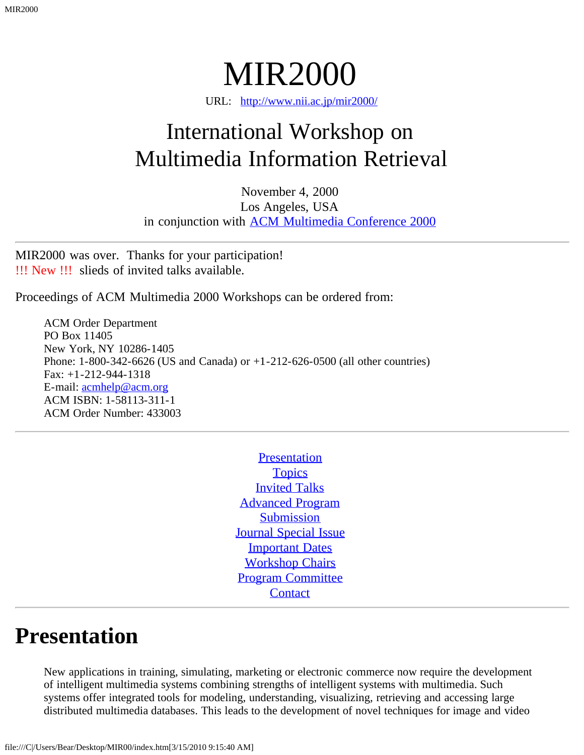MIR2000

URL: [http://www.nii.ac.jp/mir2000/](#page-0-0)

# <span id="page-0-0"></span>International Workshop on Multimedia Information Retrieval

November 4, 2000 Los Angeles, USA in conjunction with **[ACM Multimedia Conference 2000](javascript:if(confirm()** 

MIR2000 was over. Thanks for your participation! !!! New !!! slieds of invited talks available.

Proceedings of ACM Multimedia 2000 Workshops can be ordered from:

ACM Order Department PO Box 11405 New York, NY 10286-1405 Phone: 1-800-342-6626 (US and Canada) or +1-212-626-0500 (all other countries) Fax: +1-212-944-1318 E-mail: [acmhelp@acm.org](mailto:acmhelp@acm.org) ACM ISBN: 1-58113-311-1 ACM Order Number: 433003

> **[Presentation](#page-0-1) [Topics](#page-1-0)** [Invited Talks](#page-1-1) [Advanced Program](#page-1-2) **[Submission](#page-3-0)** [Journal Special Issue](#page-3-1) **[Important Dates](#page-3-2)** [Workshop Chairs](#page-4-0) [Program Committee](#page-4-1) **[Contact](#page-5-0)**

#### <span id="page-0-1"></span>**Presentation**

New applications in training, simulating, marketing or electronic commerce now require the development of intelligent multimedia systems combining strengths of intelligent systems with multimedia. Such systems offer integrated tools for modeling, understanding, visualizing, retrieving and accessing large distributed multimedia databases. This leads to the development of novel techniques for image and video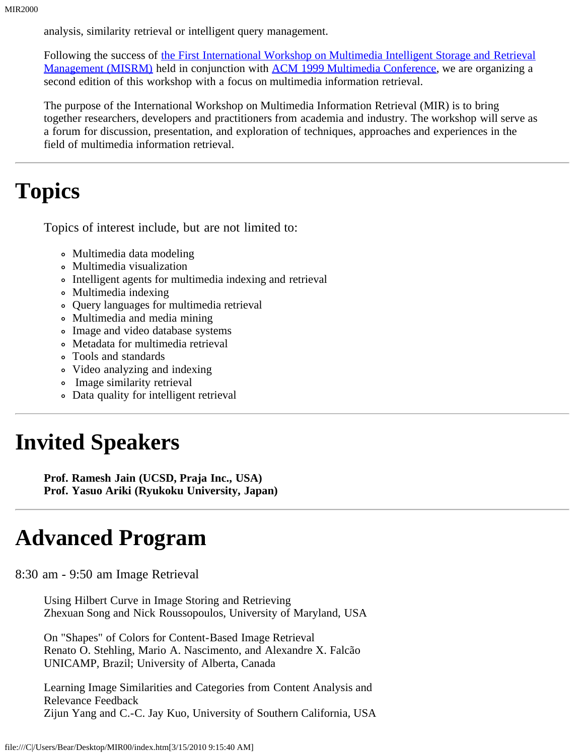analysis, similarity retrieval or intelligent query management.

Following the success of [the First International Workshop on Multimedia Intelligent Storage and Retrieval](javascript:if(confirm() [Management \(MISRM\)](javascript:if(confirm() held in conjunction with [ACM 1999 Multimedia Conference,](javascript:if(confirm() we are organizing a second edition of this workshop with a focus on multimedia information retrieval.

The purpose of the International Workshop on Multimedia Information Retrieval (MIR) is to bring together researchers, developers and practitioners from academia and industry. The workshop will serve as a forum for discussion, presentation, and exploration of techniques, approaches and experiences in the field of multimedia information retrieval.

## <span id="page-1-0"></span>**Topics**

Topics of interest include, but are not limited to:

- Multimedia data modeling
- Multimedia visualization
- Intelligent agents for multimedia indexing and retrieval
- Multimedia indexing
- Query languages for multimedia retrieval
- Multimedia and media mining
- Image and video database systems
- Metadata for multimedia retrieval
- Tools and standards
- Video analyzing and indexing
- Image similarity retrieval
- Data quality for intelligent retrieval

# <span id="page-1-1"></span>**Invited Speakers**

**Prof. Ramesh Jain (UCSD, Praja Inc., USA) Prof. Yasuo Ariki (Ryukoku University, Japan)**

## <span id="page-1-2"></span>**Advanced Program**

8:30 am - 9:50 am Image Retrieval

Using Hilbert Curve in Image Storing and Retrieving Zhexuan Song and Nick Roussopoulos, University of Maryland, USA

On "Shapes" of Colors for Content-Based Image Retrieval Renato O. Stehling, Mario A. Nascimento, and Alexandre X. Falcão UNICAMP, Brazil; University of Alberta, Canada

Learning Image Similarities and Categories from Content Analysis and Relevance Feedback Zijun Yang and C.-C. Jay Kuo, University of Southern California, USA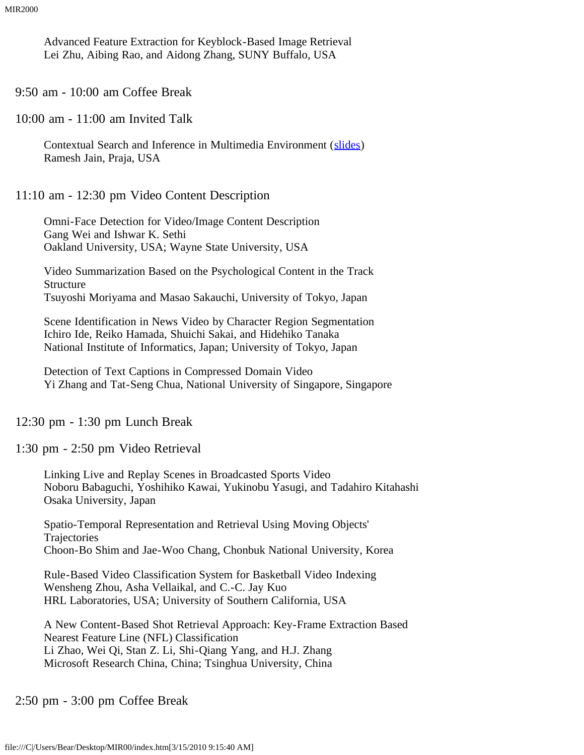Advanced Feature Extraction for Keyblock-Based Image Retrieval Lei Zhu, Aibing Rao, and Aidong Zhang, SUNY Buffalo, USA

9:50 am - 10:00 am Coffee Break

10:00 am - 11:00 am Invited Talk

Contextual Search and Inference in Multimedia Environment ([slides\)](file:///C|/Users/Bear/Desktop/MIR00/MIR_2000_Jain.ps.gz) Ramesh Jain, Praja, USA

11:10 am - 12:30 pm Video Content Description

Omni-Face Detection for Video/Image Content Description Gang Wei and Ishwar K. Sethi Oakland University, USA; Wayne State University, USA

Video Summarization Based on the Psychological Content in the Track Structure Tsuyoshi Moriyama and Masao Sakauchi, University of Tokyo, Japan

Scene Identification in News Video by Character Region Segmentation Ichiro Ide, Reiko Hamada, Shuichi Sakai, and Hidehiko Tanaka National Institute of Informatics, Japan; University of Tokyo, Japan

Detection of Text Captions in Compressed Domain Video Yi Zhang and Tat-Seng Chua, National University of Singapore, Singapore

12:30 pm - 1:30 pm Lunch Break

1:30 pm - 2:50 pm Video Retrieval

Linking Live and Replay Scenes in Broadcasted Sports Video Noboru Babaguchi, Yoshihiko Kawai, Yukinobu Yasugi, and Tadahiro Kitahashi Osaka University, Japan

Spatio-Temporal Representation and Retrieval Using Moving Objects' **Trajectories** Choon-Bo Shim and Jae-Woo Chang, Chonbuk National University, Korea

Rule-Based Video Classification System for Basketball Video Indexing Wensheng Zhou, Asha Vellaikal, and C.-C. Jay Kuo HRL Laboratories, USA; University of Southern California, USA

A New Content-Based Shot Retrieval Approach: Key-Frame Extraction Based Nearest Feature Line (NFL) Classification Li Zhao, Wei Qi, Stan Z. Li, Shi-Qiang Yang, and H.J. Zhang Microsoft Research China, China; Tsinghua University, China

2:50 pm - 3:00 pm Coffee Break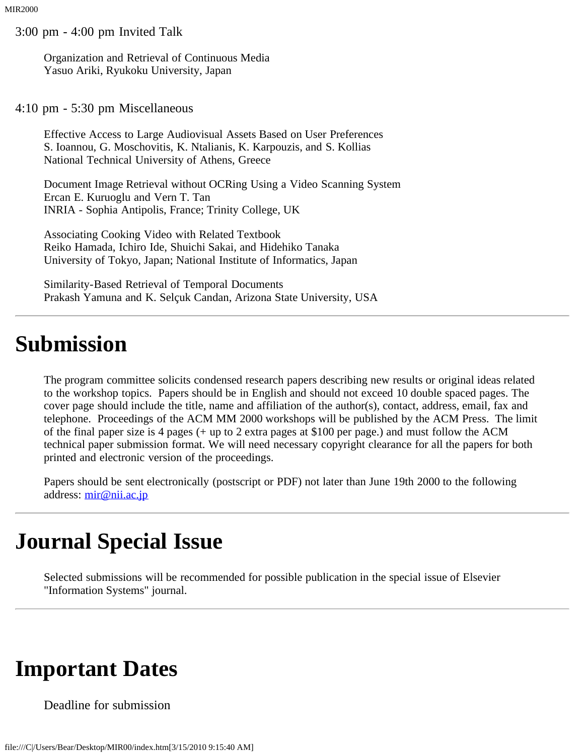3:00 pm - 4:00 pm Invited Talk

Organization and Retrieval of Continuous Media Yasuo Ariki, Ryukoku University, Japan

4:10 pm - 5:30 pm Miscellaneous

Effective Access to Large Audiovisual Assets Based on User Preferences S. Ioannou, G. Moschovitis, K. Ntalianis, K. Karpouzis, and S. Kollias National Technical University of Athens, Greece

Document Image Retrieval without OCRing Using a Video Scanning System Ercan E. Kuruoglu and Vern T. Tan INRIA - Sophia Antipolis, France; Trinity College, UK

Associating Cooking Video with Related Textbook Reiko Hamada, Ichiro Ide, Shuichi Sakai, and Hidehiko Tanaka University of Tokyo, Japan; National Institute of Informatics, Japan

Similarity-Based Retrieval of Temporal Documents Prakash Yamuna and K. Selçuk Candan, Arizona State University, USA

#### <span id="page-3-0"></span>**Submission**

The program committee solicits condensed research papers describing new results or original ideas related to the workshop topics. Papers should be in English and should not exceed 10 double spaced pages. The cover page should include the title, name and affiliation of the author(s), contact, address, email, fax and telephone. Proceedings of the ACM MM 2000 workshops will be published by the ACM Press. The limit of the final paper size is 4 pages (+ up to 2 extra pages at \$100 per page.) and must follow the ACM technical paper submission format. We will need necessary copyright clearance for all the papers for both printed and electronic version of the proceedings.

Papers should be sent electronically (postscript or PDF) not later than June 19th 2000 to the following address: [mir@nii.ac.jp](mailto:mir@nii.ac.jp)

## <span id="page-3-1"></span>**Journal Special Issue**

Selected submissions will be recommended for possible publication in the special issue of Elsevier "Information Systems" journal.

#### <span id="page-3-2"></span>**Important Dates**

Deadline for submission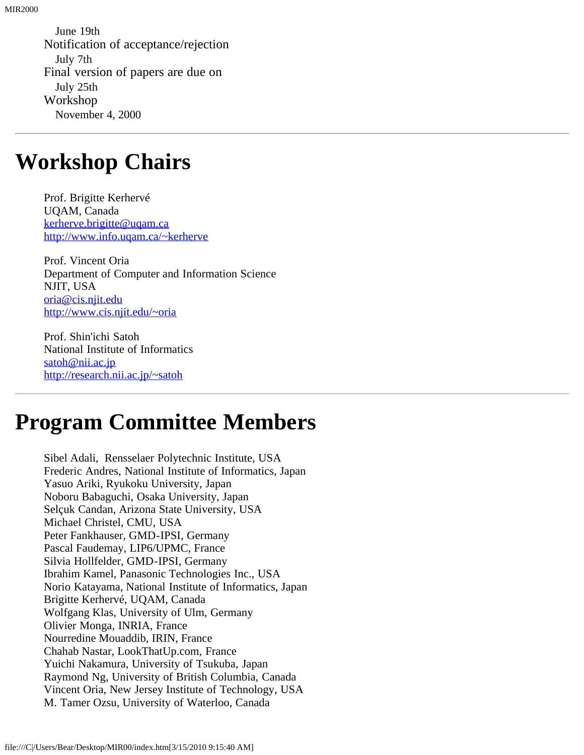June 19th Notification of acceptance/rejection July 7th Final version of papers are due on July 25th Workshop November 4, 2000

#### <span id="page-4-0"></span>**Workshop Chairs**

Prof. Brigitte Kerhervé UQAM, Canada [kerherve.brigitte@uqam.ca](mailto:kerherve.brigitte@uqam.ca) [http://www.info.uqam.ca/~kerherve](javascript:if(confirm()

Prof. Vincent Oria Department of Computer and Information Science NJIT, USA [oria@cis.njit.edu](mailto:oria@cis.njit.edu) [http://www.cis.njit.edu/~oria](javascript:if(confirm()

Prof. Shin'ichi Satoh National Institute of Informatics [satoh@nii.ac.jp](mailto:satoh@nii.ac.jp) [http://research.nii.ac.jp/~satoh](javascript:if(confirm()

## <span id="page-4-1"></span>**Program Committee Members**

Sibel Adali, Rensselaer Polytechnic Institute, USA Frederic Andres, National Institute of Informatics, Japan Yasuo Ariki, Ryukoku University, Japan Noboru Babaguchi, Osaka University, Japan Selçuk Candan, Arizona State University, USA Michael Christel, CMU, USA Peter Fankhauser, GMD-IPSI, Germany Pascal Faudemay, LIP6/UPMC, France Silvia Hollfelder, GMD-IPSI, Germany Ibrahim Kamel, Panasonic Technologies Inc., USA Norio Katayama, National Institute of Informatics, Japan Brigitte Kerhervé, UQAM, Canada Wolfgang Klas, University of Ulm, Germany Olivier Monga, INRIA, France Nourredine Mouaddib, IRIN, France Chahab Nastar, LookThatUp.com, France Yuichi Nakamura, University of Tsukuba, Japan Raymond Ng, University of British Columbia, Canada Vincent Oria, New Jersey Institute of Technology, USA M. Tamer Ozsu, University of Waterloo, Canada